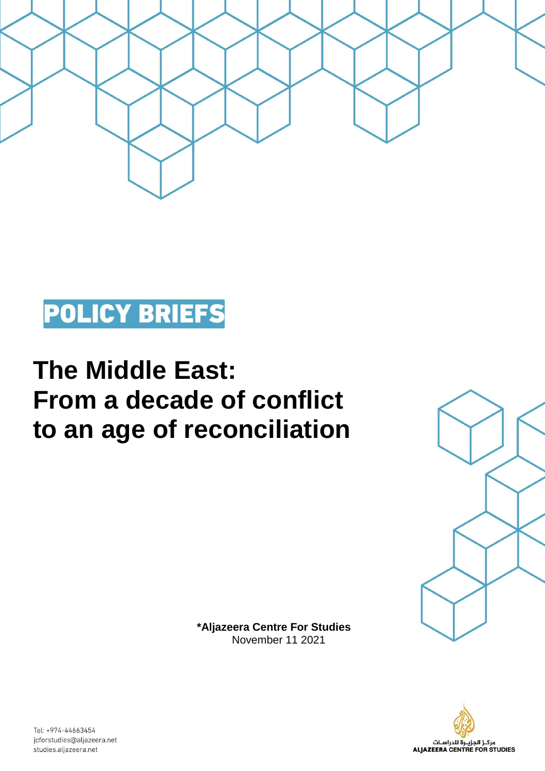



## **The Middle East: From a decade of conflict to an age of reconciliation**



**\*Aljazeera Centre For Studies**  November 11 2021



Tel: +974-44663454 jcforstudies@aljazeera.net studies.aljazeera.net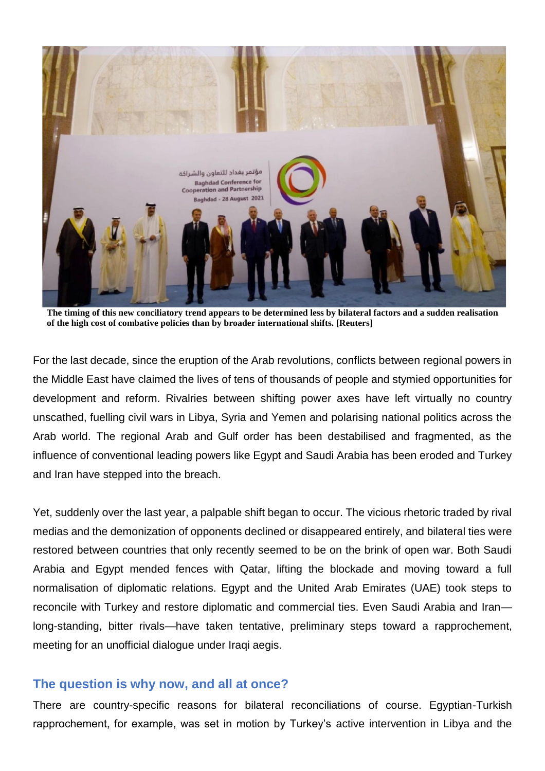

**The timing of this new conciliatory trend appears to be determined less by bilateral factors and a sudden realisation of the high cost of combative policies than by broader international shifts. [Reuters]**

For the last decade, since the eruption of the Arab revolutions, conflicts between regional powers in the Middle East have claimed the lives of tens of thousands of people and stymied opportunities for development and reform. Rivalries between shifting power axes have left virtually no country unscathed, fuelling civil wars in Libya, Syria and Yemen and polarising national politics across the Arab world. The regional Arab and Gulf order has been destabilised and fragmented, as the influence of conventional leading powers like Egypt and Saudi Arabia has been eroded and Turkey and Iran have stepped into the breach.

Yet, suddenly over the last year, a palpable shift began to occur. The vicious rhetoric traded by rival medias and the demonization of opponents declined or disappeared entirely, and bilateral ties were restored between countries that only recently seemed to be on the brink of open war. Both Saudi Arabia and Egypt mended fences with Qatar, lifting the blockade and moving toward a full normalisation of diplomatic relations. Egypt and the United Arab Emirates (UAE) took steps to reconcile with Turkey and restore diplomatic and commercial ties. Even Saudi Arabia and Iran long-standing, bitter rivals—have taken tentative, preliminary steps toward a rapprochement, meeting for an unofficial dialogue under Iraqi aegis.

## **The question is why now, and all at once?**

There are country-specific reasons for bilateral reconciliations of course. Egyptian-Turkish rapprochement, for example, was set in motion by Turkey's active intervention in Libya and the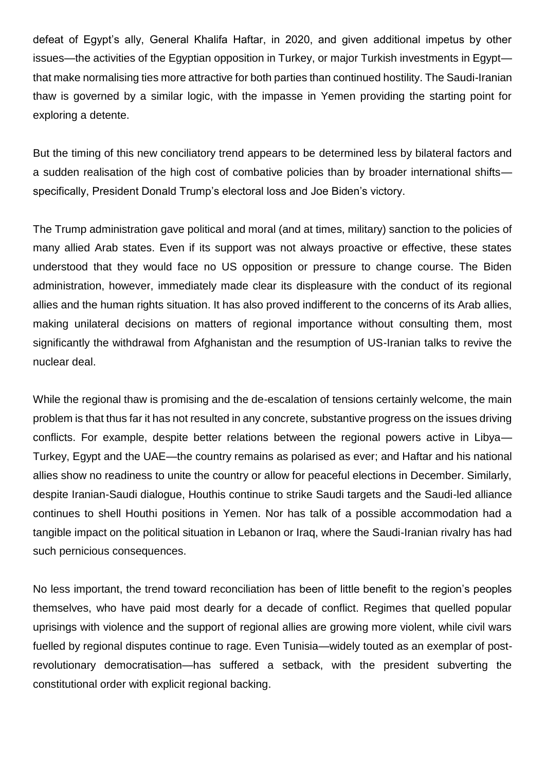defeat of Egypt's ally, General Khalifa Haftar, in 2020, and given additional impetus by other issues—the activities of the Egyptian opposition in Turkey, or major Turkish investments in Egypt that make normalising ties more attractive for both parties than continued hostility. The Saudi-Iranian thaw is governed by a similar logic, with the impasse in Yemen providing the starting point for exploring a detente.

But the timing of this new conciliatory trend appears to be determined less by bilateral factors and a sudden realisation of the high cost of combative policies than by broader international shifts specifically, President Donald Trump's electoral loss and Joe Biden's victory.

The Trump administration gave political and moral (and at times, military) sanction to the policies of many allied Arab states. Even if its support was not always proactive or effective, these states understood that they would face no US opposition or pressure to change course. The Biden administration, however, immediately made clear its displeasure with the conduct of its regional allies and the human rights situation. It has also proved indifferent to the concerns of its Arab allies, making unilateral decisions on matters of regional importance without consulting them, most significantly the withdrawal from Afghanistan and the resumption of US-Iranian talks to revive the nuclear deal.

While the regional thaw is promising and the de-escalation of tensions certainly welcome, the main problem is that thus far it has not resulted in any concrete, substantive progress on the issues driving conflicts. For example, despite better relations between the regional powers active in Libya— Turkey, Egypt and the UAE—the country remains as polarised as ever; and Haftar and his national allies show no readiness to unite the country or allow for peaceful elections in December. Similarly, despite Iranian-Saudi dialogue, Houthis continue to strike Saudi targets and the Saudi-led alliance continues to shell Houthi positions in Yemen. Nor has talk of a possible accommodation had a tangible impact on the political situation in Lebanon or Iraq, where the Saudi-Iranian rivalry has had such pernicious consequences.

No less important, the trend toward reconciliation has been of little benefit to the region's peoples themselves, who have paid most dearly for a decade of conflict. Regimes that quelled popular uprisings with violence and the support of regional allies are growing more violent, while civil wars fuelled by regional disputes continue to rage. Even Tunisia—widely touted as an exemplar of postrevolutionary democratisation—has suffered a setback, with the president subverting the constitutional order with explicit regional backing.